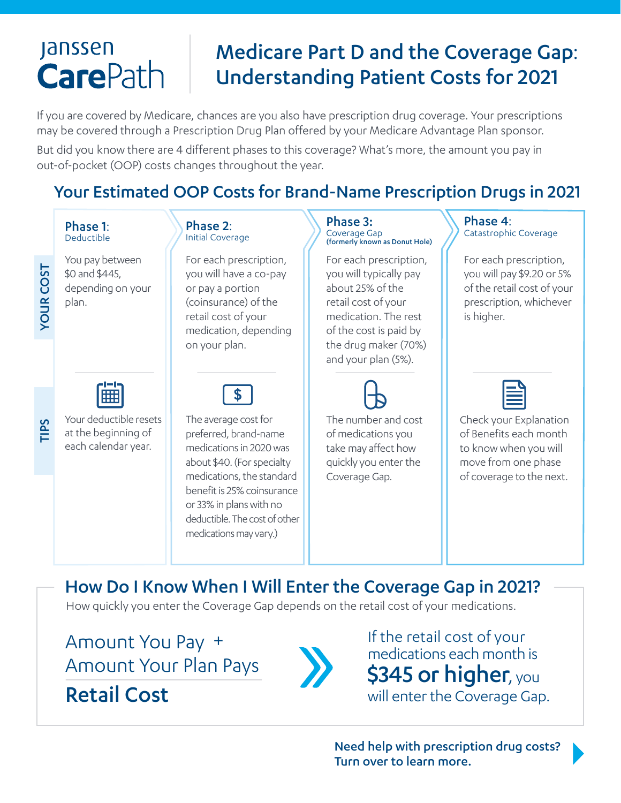# **Janssen CarePath**

# Medicare Part D and the Coverage Gap: Understanding Patient Costs for 2021

If you are covered by Medicare, chances are you also have prescription drug coverage. Your prescriptions may be covered through a Prescription Drug Plan offered by your Medicare Advantage Plan sponsor.

But did you know there are 4 different phases to this coverage? What's more, the amount you pay in out-of-pocket (OOP) costs changes throughout the year.

## Your Estimated OOP Costs for Brand-Name Prescription Drugs in 2021

### Phase 1: Deductible

YOUR COST

**YOUR COST** 

TIPS

You pay between \$0 and \$445, depending on your plan.



Your deductible resets at the beginning of each calendar year.

#### Phase 2: Initial Coverage

For each prescription, you will have a co-pay or pay a portion (coinsurance) of the retail cost of your medication, depending on your plan.



The average cost for preferred, brand-name medications in 2020 was about \$40. (For specialty medications, the standard benefit is 25% coinsurance or 33% in plans with no deductible. The cost of other medications may vary.)

### Phase 3: Coverage Gap (formerly known as Donut Hole)

For each prescription, you will typically pay about 25% of the retail cost of your medication. The rest of the cost is paid by the drug maker (70%) and your plan (5%).



The number and cost of medications you take may affect how quickly you enter the Coverage Gap.

Phase 4: Catastrophic Coverage

For each prescription, you will pay \$9.20 or 5% of the retail cost of your prescription, whichever is higher.



Check your Explanation of Benefits each month to know when you will move from one phase of coverage to the next.

## How Do I Know When I Will Enter the Coverage Gap in 2021?

How quickly you enter the Coverage Gap depends on the retail cost of your medications.

Amount You Pay + Amount Your Plan Pays

Retail Cost



If the retail cost of your medications each month is \$345 or higher, you will enter the Coverage Gap.

Need help with prescription drug costs? Turn over to learn more.